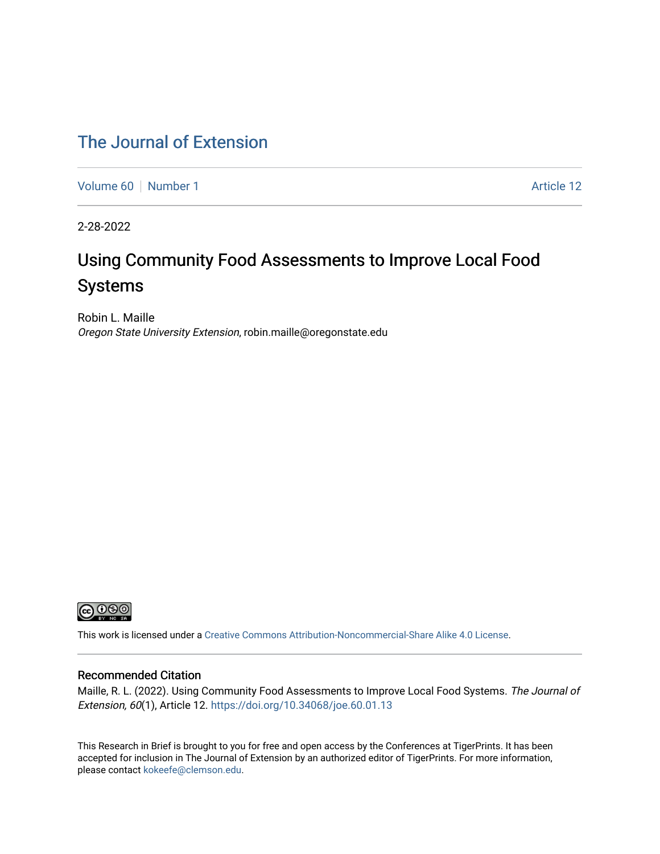# [The Journal of Extension](https://tigerprints.clemson.edu/joe)

[Volume 60](https://tigerprints.clemson.edu/joe/vol60) [Number 1](https://tigerprints.clemson.edu/joe/vol60/iss1) Article 12

2-28-2022

# Using Community Food Assessments to Improve Local Food Systems

Robin L. Maille Oregon State University Extension, robin.maille@oregonstate.edu



This work is licensed under a [Creative Commons Attribution-Noncommercial-Share Alike 4.0 License.](https://creativecommons.org/licenses/by-nc-sa/4.0/)

#### Recommended Citation

Maille, R. L. (2022). Using Community Food Assessments to Improve Local Food Systems. The Journal of Extension, 60(1), Article 12. <https://doi.org/10.34068/joe.60.01.13>

This Research in Brief is brought to you for free and open access by the Conferences at TigerPrints. It has been accepted for inclusion in The Journal of Extension by an authorized editor of TigerPrints. For more information, please contact [kokeefe@clemson.edu](mailto:kokeefe@clemson.edu).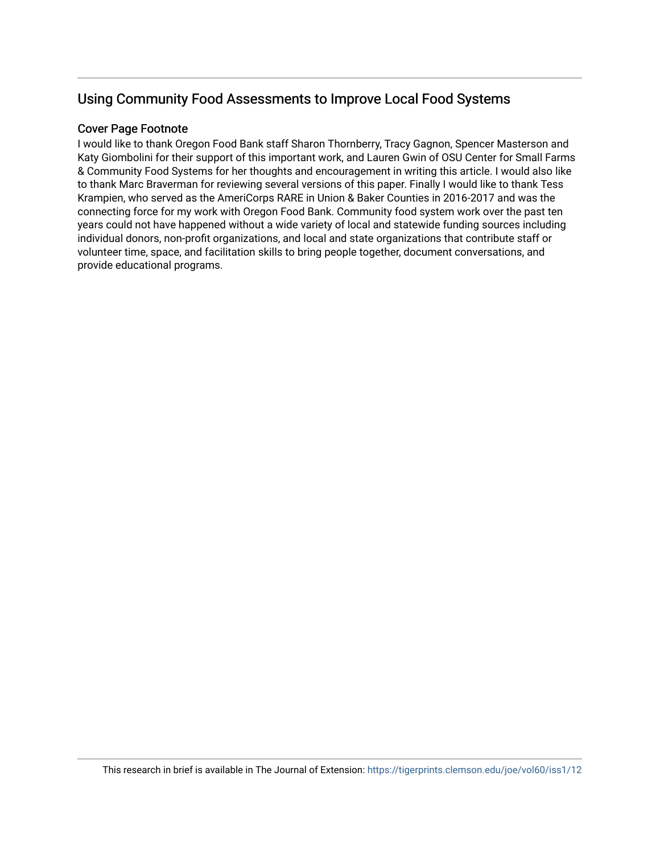## Using Community Food Assessments to Improve Local Food Systems

### Cover Page Footnote

I would like to thank Oregon Food Bank staff Sharon Thornberry, Tracy Gagnon, Spencer Masterson and Katy Giombolini for their support of this important work, and Lauren Gwin of OSU Center for Small Farms & Community Food Systems for her thoughts and encouragement in writing this article. I would also like to thank Marc Braverman for reviewing several versions of this paper. Finally I would like to thank Tess Krampien, who served as the AmeriCorps RARE in Union & Baker Counties in 2016-2017 and was the connecting force for my work with Oregon Food Bank. Community food system work over the past ten years could not have happened without a wide variety of local and statewide funding sources including individual donors, non-profit organizations, and local and state organizations that contribute staff or volunteer time, space, and facilitation skills to bring people together, document conversations, and provide educational programs.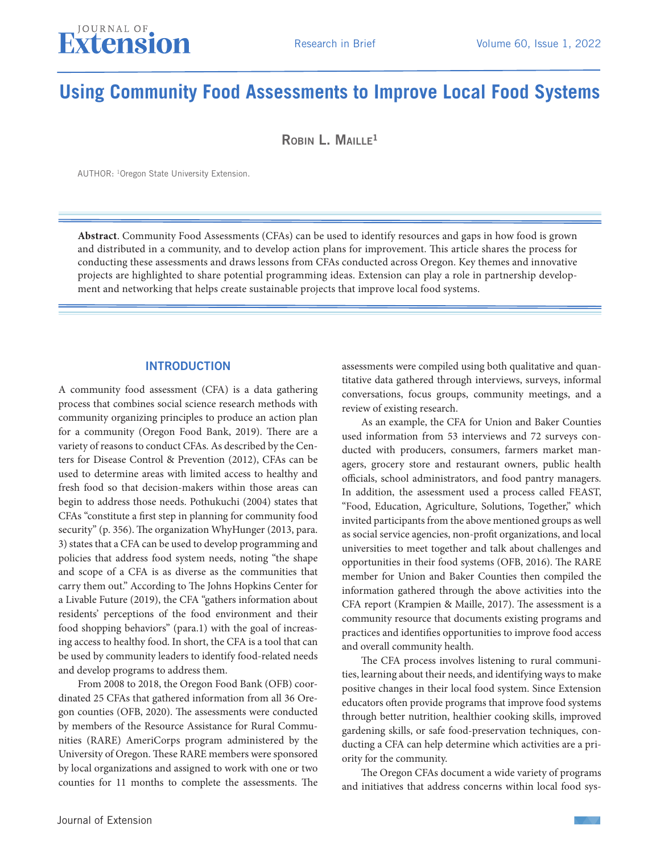# **Using Community Food Assessments to Improve Local Food Systems**

 $R$ Obin L. MAILLE<sup>1</sup>

AUTHOR: 1Oregon State University Extension.

**Abstract**. Community Food Assessments (CFAs) can be used to identify resources and gaps in how food is grown and distributed in a community, and to develop action plans for improvement. This article shares the process for conducting these assessments and draws lessons from CFAs conducted across Oregon. Key themes and innovative projects are highlighted to share potential programming ideas. Extension can play a role in partnership development and networking that helps create sustainable projects that improve local food systems.

#### **INTRODUCTION**

A community food assessment (CFA) is a data gathering process that combines social science research methods with community organizing principles to produce an action plan for a community (Oregon Food Bank, 2019). There are a variety of reasons to conduct CFAs. As described by the Centers for Disease Control & Prevention (2012), CFAs can be used to determine areas with limited access to healthy and fresh food so that decision-makers within those areas can begin to address those needs. Pothukuchi (2004) states that CFAs "constitute a first step in planning for community food security" (p. 356). The organization WhyHunger (2013, para. 3) states that a CFA can be used to develop programming and policies that address food system needs, noting "the shape and scope of a CFA is as diverse as the communities that carry them out." According to The Johns Hopkins Center for a Livable Future (2019), the CFA "gathers information about residents' perceptions of the food environment and their food shopping behaviors" (para.1) with the goal of increasing access to healthy food. In short, the CFA is a tool that can be used by community leaders to identify food-related needs and develop programs to address them.

From 2008 to 2018, the Oregon Food Bank (OFB) coordinated 25 CFAs that gathered information from all 36 Oregon counties (OFB, 2020). The assessments were conducted by members of the Resource Assistance for Rural Communities (RARE) AmeriCorps program administered by the University of Oregon. These RARE members were sponsored by local organizations and assigned to work with one or two counties for 11 months to complete the assessments. The

assessments were compiled using both qualitative and quantitative data gathered through interviews, surveys, informal conversations, focus groups, community meetings, and a review of existing research.

As an example, the CFA for Union and Baker Counties used information from 53 interviews and 72 surveys conducted with producers, consumers, farmers market managers, grocery store and restaurant owners, public health officials, school administrators, and food pantry managers. In addition, the assessment used a process called FEAST, "Food, Education, Agriculture, Solutions, Together," which invited participants from the above mentioned groups as well as social service agencies, non-profit organizations, and local universities to meet together and talk about challenges and opportunities in their food systems (OFB, 2016). The RARE member for Union and Baker Counties then compiled the information gathered through the above activities into the CFA report (Krampien & Maille, 2017). The assessment is a community resource that documents existing programs and practices and identifies opportunities to improve food access and overall community health.

The CFA process involves listening to rural communities, learning about their needs, and identifying ways to make positive changes in their local food system. Since Extension educators often provide programs that improve food systems through better nutrition, healthier cooking skills, improved gardening skills, or safe food-preservation techniques, conducting a CFA can help determine which activities are a priority for the community.

The Oregon CFAs document a wide variety of programs and initiatives that address concerns within local food sys-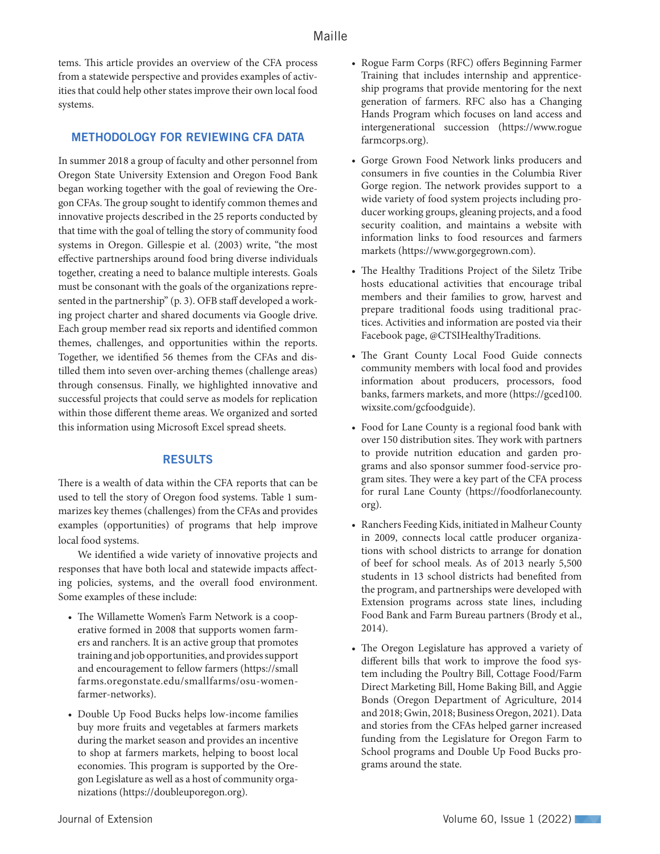tems. This article provides an overview of the CFA process from a statewide perspective and provides examples of activities that could help other states improve their own local food systems.

### METHODOLOGY FOR REVIEWING CFA DATA

In summer 2018 a group of faculty and other personnel from Oregon State University Extension and Oregon Food Bank began working together with the goal of reviewing the Oregon CFAs. The group sought to identify common themes and innovative projects described in the 25 reports conducted by that time with the goal of telling the story of community food systems in Oregon. Gillespie et al. (2003) write, "the most effective partnerships around food bring diverse individuals together, creating a need to balance multiple interests. Goals must be consonant with the goals of the organizations represented in the partnership" (p. 3). OFB staff developed a working project charter and shared documents via Google drive. Each group member read six reports and identified common themes, challenges, and opportunities within the reports. Together, we identified 56 themes from the CFAs and distilled them into seven over-arching themes (challenge areas) through consensus. Finally, we highlighted innovative and successful projects that could serve as models for replication within those different theme areas. We organized and sorted this information using Microsoft Excel spread sheets.

#### RESULTS

There is a wealth of data within the CFA reports that can be used to tell the story of Oregon food systems. Table 1 summarizes key themes (challenges) from the CFAs and provides examples (opportunities) of programs that help improve local food systems.

We identified a wide variety of innovative projects and responses that have both local and statewide impacts affecting policies, systems, and the overall food environment. Some examples of these include:

- The Willamette Women's Farm Network is a cooperative formed in 2008 that supports women farmers and ranchers. It is an active group that promotes training and job opportunities, and provides support and encouragement to fellow farmers (https://small farms.oregonstate.edu/smallfarms/osu-womenfarmer-networks).
- Double Up Food Bucks helps low-income families buy more fruits and vegetables at farmers markets during the market season and provides an incentive to shop at farmers markets, helping to boost local economies. This program is supported by the Oregon Legislature as well as a host of community organizations (https://doubleuporegon.org).
- Rogue Farm Corps (RFC) offers Beginning Farmer Training that includes internship and apprenticeship programs that provide mentoring for the next generation of farmers. RFC also has a Changing Hands Program which focuses on land access and intergenerational succession (https://www.rogue farmcorps.org).
- Gorge Grown Food Network links producers and consumers in five counties in the Columbia River Gorge region. The network provides support to a wide variety of food system projects including producer working groups, gleaning projects, and a food security coalition, and maintains a website with information links to food resources and farmers markets (https://www.gorgegrown.com).
- The Healthy Traditions Project of the Siletz Tribe hosts educational activities that encourage tribal members and their families to grow, harvest and prepare traditional foods using traditional practices. Activities and information are posted via their Facebook page, @CTSIHealthyTraditions.
- The Grant County Local Food Guide connects community members with local food and provides information about producers, processors, food banks, farmers markets, and more (https://gced100. wixsite.com/gcfoodguide).
- Food for Lane County is a regional food bank with over 150 distribution sites. They work with partners to provide nutrition education and garden programs and also sponsor summer food-service program sites. They were a key part of the CFA process for rural Lane County (https://foodforlanecounty. org).
- Ranchers Feeding Kids, initiated in Malheur County in 2009, connects local cattle producer organizations with school districts to arrange for donation of beef for school meals. As of 2013 nearly 5,500 students in 13 school districts had benefited from the program, and partnerships were developed with Extension programs across state lines, including Food Bank and Farm Bureau partners (Brody et al., 2014).
- The Oregon Legislature has approved a variety of different bills that work to improve the food system including the Poultry Bill, Cottage Food/Farm Direct Marketing Bill, Home Baking Bill, and Aggie Bonds (Oregon Department of Agriculture, 2014 and 2018; Gwin, 2018; Business Oregon, 2021). Data and stories from the CFAs helped garner increased funding from the Legislature for Oregon Farm to School programs and Double Up Food Bucks programs around the state.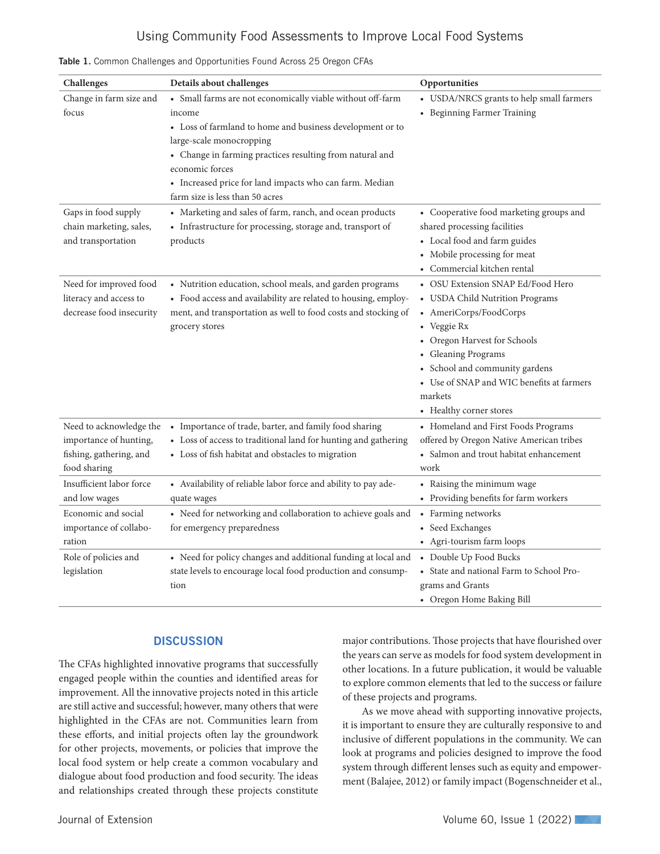### Using Community Food Assessments to Improve Local Food Systems

| Challenges                                                                                   | Details about challenges                                                                                                                                                                                                                                                                                                                   | Opportunities                                                                                                                                                                                                                                                                             |
|----------------------------------------------------------------------------------------------|--------------------------------------------------------------------------------------------------------------------------------------------------------------------------------------------------------------------------------------------------------------------------------------------------------------------------------------------|-------------------------------------------------------------------------------------------------------------------------------------------------------------------------------------------------------------------------------------------------------------------------------------------|
| Change in farm size and<br>focus                                                             | • Small farms are not economically viable without off-farm<br>income<br>• Loss of farmland to home and business development or to<br>large-scale monocropping<br>• Change in farming practices resulting from natural and<br>economic forces<br>• Increased price for land impacts who can farm. Median<br>farm size is less than 50 acres | • USDA/NRCS grants to help small farmers<br>• Beginning Farmer Training                                                                                                                                                                                                                   |
| Gaps in food supply<br>chain marketing, sales,<br>and transportation                         | • Marketing and sales of farm, ranch, and ocean products<br>• Infrastructure for processing, storage and, transport of<br>products                                                                                                                                                                                                         | • Cooperative food marketing groups and<br>shared processing facilities<br>• Local food and farm guides<br>• Mobile processing for meat<br>• Commercial kitchen rental                                                                                                                    |
| Need for improved food<br>literacy and access to<br>decrease food insecurity                 | • Nutrition education, school meals, and garden programs<br>• Food access and availability are related to housing, employ-<br>ment, and transportation as well to food costs and stocking of<br>grocery stores                                                                                                                             | • OSU Extension SNAP Ed/Food Hero<br>• USDA Child Nutrition Programs<br>• AmeriCorps/FoodCorps<br>• Veggie Rx<br>• Oregon Harvest for Schools<br>• Gleaning Programs<br>• School and community gardens<br>• Use of SNAP and WIC benefits at farmers<br>markets<br>• Healthy corner stores |
| Need to acknowledge the<br>importance of hunting,<br>fishing, gathering, and<br>food sharing | • Importance of trade, barter, and family food sharing<br>• Loss of access to traditional land for hunting and gathering<br>• Loss of fish habitat and obstacles to migration                                                                                                                                                              | • Homeland and First Foods Programs<br>offered by Oregon Native American tribes<br>• Salmon and trout habitat enhancement<br>work                                                                                                                                                         |
| Insufficient labor force<br>and low wages                                                    | • Availability of reliable labor force and ability to pay ade-<br>quate wages                                                                                                                                                                                                                                                              | • Raising the minimum wage<br>• Providing benefits for farm workers                                                                                                                                                                                                                       |
| Economic and social<br>importance of collabo-<br>ration                                      | • Need for networking and collaboration to achieve goals and<br>for emergency preparedness                                                                                                                                                                                                                                                 | • Farming networks<br>• Seed Exchanges<br>• Agri-tourism farm loops                                                                                                                                                                                                                       |
| Role of policies and<br>legislation                                                          | • Need for policy changes and additional funding at local and<br>state levels to encourage local food production and consump-<br>tion                                                                                                                                                                                                      | • Double Up Food Bucks<br>• State and national Farm to School Pro-<br>grams and Grants<br>• Oregon Home Baking Bill                                                                                                                                                                       |

|  |  |  |  |  | Table 1. Common Challenges and Opportunities Found Across 25 Oregon CFAs |  |  |  |  |  |
|--|--|--|--|--|--------------------------------------------------------------------------|--|--|--|--|--|
|--|--|--|--|--|--------------------------------------------------------------------------|--|--|--|--|--|

#### **DISCUSSION**

The CFAs highlighted innovative programs that successfully engaged people within the counties and identified areas for improvement. All the innovative projects noted in this article are still active and successful; however, many others that were highlighted in the CFAs are not. Communities learn from these efforts, and initial projects often lay the groundwork for other projects, movements, or policies that improve the local food system or help create a common vocabulary and dialogue about food production and food security. The ideas and relationships created through these projects constitute major contributions. Those projects that have flourished over the years can serve as models for food system development in other locations. In a future publication, it would be valuable to explore common elements that led to the success or failure of these projects and programs.

As we move ahead with supporting innovative projects, it is important to ensure they are culturally responsive to and inclusive of different populations in the community. We can look at programs and policies designed to improve the food system through different lenses such as equity and empowerment (Balajee, 2012) or family impact (Bogenschneider et al.,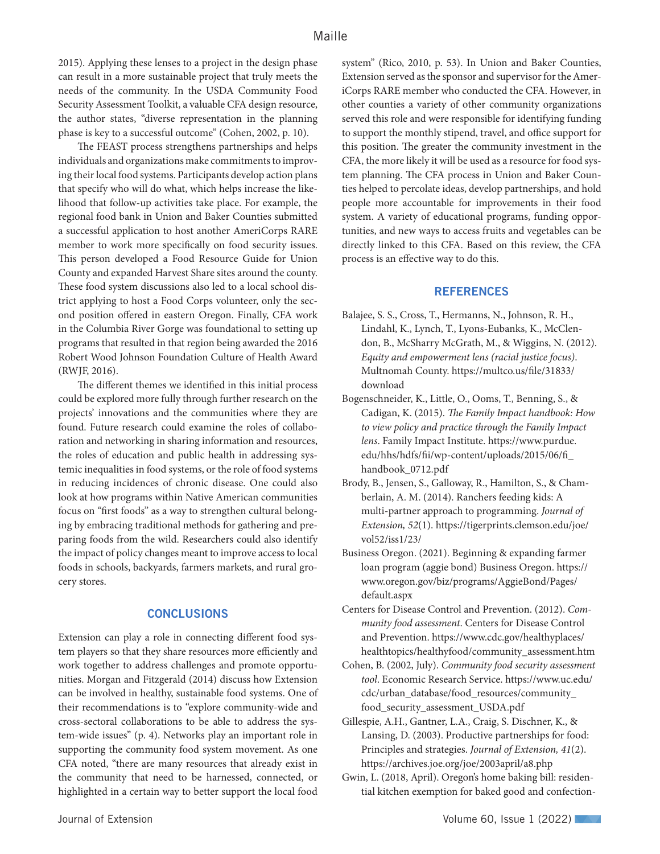2015). Applying these lenses to a project in the design phase can result in a more sustainable project that truly meets the needs of the community. In the USDA Community Food Security Assessment Toolkit, a valuable CFA design resource, the author states, "diverse representation in the planning phase is key to a successful outcome" (Cohen, 2002, p. 10).

The FEAST process strengthens partnerships and helps individuals and organizations make commitments to improving their local food systems. Participants develop action plans that specify who will do what, which helps increase the likelihood that follow-up activities take place. For example, the regional food bank in Union and Baker Counties submitted a successful application to host another AmeriCorps RARE member to work more specifically on food security issues. This person developed a Food Resource Guide for Union County and expanded Harvest Share sites around the county. These food system discussions also led to a local school district applying to host a Food Corps volunteer, only the second position offered in eastern Oregon. Finally, CFA work in the Columbia River Gorge was foundational to setting up programs that resulted in that region being awarded the 2016 Robert Wood Johnson Foundation Culture of Health Award (RWJF, 2016).

The different themes we identified in this initial process could be explored more fully through further research on the projects' innovations and the communities where they are found. Future research could examine the roles of collaboration and networking in sharing information and resources, the roles of education and public health in addressing systemic inequalities in food systems, or the role of food systems in reducing incidences of chronic disease. One could also look at how programs within Native American communities focus on "first foods" as a way to strengthen cultural belonging by embracing traditional methods for gathering and preparing foods from the wild. Researchers could also identify the impact of policy changes meant to improve access to local foods in schools, backyards, farmers markets, and rural grocery stores.

#### **CONCLUSIONS**

Extension can play a role in connecting different food system players so that they share resources more efficiently and work together to address challenges and promote opportunities. Morgan and Fitzgerald (2014) discuss how Extension can be involved in healthy, sustainable food systems. One of their recommendations is to "explore community-wide and cross-sectoral collaborations to be able to address the system-wide issues" (p. 4). Networks play an important role in supporting the community food system movement. As one CFA noted, "there are many resources that already exist in the community that need to be harnessed, connected, or highlighted in a certain way to better support the local food

system" (Rico, 2010, p. 53). In Union and Baker Counties, Extension served as the sponsor and supervisor for the AmeriCorps RARE member who conducted the CFA. However, in other counties a variety of other community organizations served this role and were responsible for identifying funding to support the monthly stipend, travel, and office support for this position. The greater the community investment in the CFA, the more likely it will be used as a resource for food system planning. The CFA process in Union and Baker Counties helped to percolate ideas, develop partnerships, and hold people more accountable for improvements in their food system. A variety of educational programs, funding opportunities, and new ways to access fruits and vegetables can be directly linked to this CFA. Based on this review, the CFA process is an effective way to do this.

#### **REFERENCES**

- Balajee, S. S., Cross, T., Hermanns, N., Johnson, R. H., Lindahl, K., Lynch, T., Lyons-Eubanks, K., McClendon, B., McSharry McGrath, M., & Wiggins, N. (2012). *Equity and empowerment lens (racial justice focus)*. Multnomah County. https://multco.us/file/31833/ download
- Bogenschneider, K., Little, O., Ooms, T., Benning, S., & Cadigan, K. (2015). *The Family Impact handbook: How to view policy and practice through the Family Impact lens*. Family Impact Institute. https://www.purdue. edu/hhs/hdfs/fii/wp-content/uploads/2015/06/fi\_ handbook\_0712.pdf
- Brody, B., Jensen, S., Galloway, R., Hamilton, S., & Chamberlain, A. M. (2014). Ranchers feeding kids: A multi-partner approach to programming. *Journal of Extension, 52*(1). https://tigerprints.clemson.edu/joe/ vol52/iss1/23/
- Business Oregon. (2021). Beginning & expanding farmer loan program (aggie bond) Business Oregon. https:// www.oregon.gov/biz/programs/AggieBond/Pages/ default.aspx
- Centers for Disease Control and Prevention. (2012). *Community food assessment*. Centers for Disease Control and Prevention. https://www.cdc.gov/healthyplaces/ healthtopics/healthyfood/community\_assessment.htm
- Cohen, B. (2002, July). *Community food security assessment tool*. Economic Research Service. https://www.uc.edu/ cdc/urban\_database/food\_resources/community\_ food\_security\_assessment\_USDA.pdf
- Gillespie, A.H., Gantner, L.A., Craig, S. Dischner, K., & Lansing, D. (2003). Productive partnerships for food: Principles and strategies. *Journal of Extension, 41*(2). https://archives.joe.org/joe/2003april/a8.php
- Gwin, L. (2018, April). Oregon's home baking bill: residential kitchen exemption for baked good and confection-